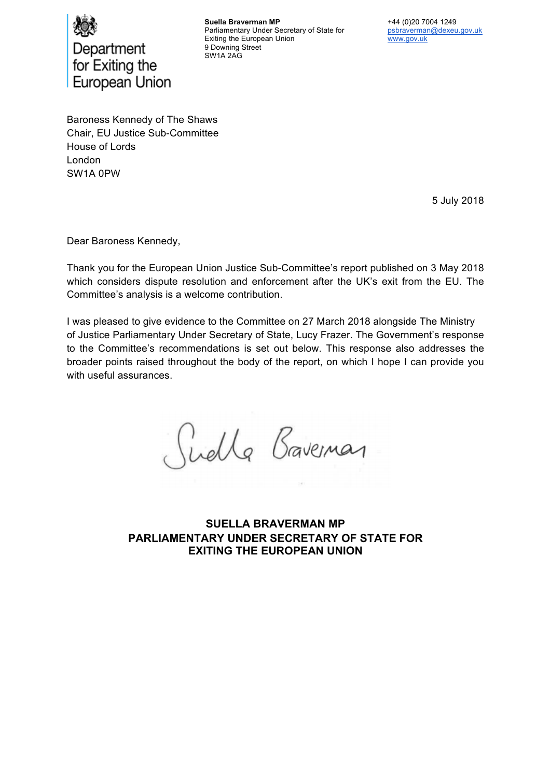

**Suella Braverman MP**  Parliamentary Under Secretary of State for Exiting the European Union 9 Downing Street SW1A 2AG

+44 (0)20 7004 1249 psbraverman@dexeu.gov.uk www.gov.uk

Baroness Kennedy of The Shaws Chair, EU Justice Sub-Committee House of Lords London SW1A 0PW

5 July 2018

Dear Baroness Kennedy,

Thank you for the European Union Justice Sub-Committee's report published on 3 May 2018 which considers dispute resolution and enforcement after the UK's exit from the EU. The Committee's analysis is a welcome contribution.

I was pleased to give evidence to the Committee on 27 March 2018 alongside The Ministry of Justice Parliamentary Under Secretary of State, Lucy Frazer. The Government's response to the Committee's recommendations is set out below. This response also addresses the broader points raised throughout the body of the report, on which I hope I can provide you with useful assurances.

Guella Braveman

**SUELLA BRAVERMAN MP PARLIAMENTARY UNDER SECRETARY OF STATE FOR EXITING THE EUROPEAN UNION**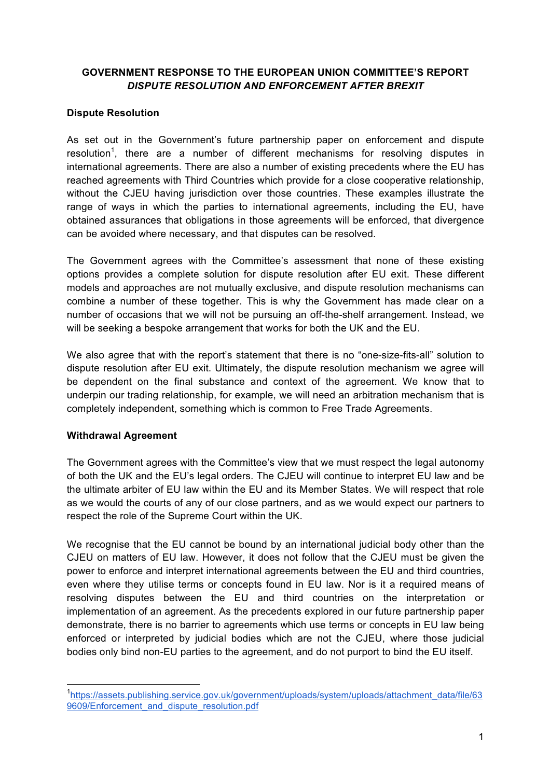#### **GOVERNMENT RESPONSE TO THE EUROPEAN UNION COMMITTEE'S REPORT**  *DISPUTE RESOLUTION AND ENFORCEMENT AFTER BREXIT*

#### **Dispute Resolution**

As set out in the Government's future partnership paper on enforcement and dispute resolution<sup>1</sup>, there are a number of different mechanisms for resolving disputes in international agreements. There are also a number of existing precedents where the EU has reached agreements with Third Countries which provide for a close cooperative relationship, without the CJEU having jurisdiction over those countries. These examples illustrate the range of ways in which the parties to international agreements, including the EU, have obtained assurances that obligations in those agreements will be enforced, that divergence can be avoided where necessary, and that disputes can be resolved.

The Government agrees with the Committee's assessment that none of these existing options provides a complete solution for dispute resolution after EU exit. These different models and approaches are not mutually exclusive, and dispute resolution mechanisms can combine a number of these together. This is why the Government has made clear on a number of occasions that we will not be pursuing an off-the-shelf arrangement. Instead, we will be seeking a bespoke arrangement that works for both the UK and the EU.

We also agree that with the report's statement that there is no "one-size-fits-all" solution to dispute resolution after EU exit. Ultimately, the dispute resolution mechanism we agree will be dependent on the final substance and context of the agreement. We know that to underpin our trading relationship, for example, we will need an arbitration mechanism that is completely independent, something which is common to Free Trade Agreements.

#### **Withdrawal Agreement**

The Government agrees with the Committee's view that we must respect the legal autonomy of both the UK and the EU's legal orders. The CJEU will continue to interpret EU law and be the ultimate arbiter of EU law within the EU and its Member States. We will respect that role as we would the courts of any of our close partners, and as we would expect our partners to respect the role of the Supreme Court within the UK.

We recognise that the EU cannot be bound by an international judicial body other than the CJEU on matters of EU law. However, it does not follow that the CJEU must be given the power to enforce and interpret international agreements between the EU and third countries, even where they utilise terms or concepts found in EU law. Nor is it a required means of resolving disputes between the EU and third countries on the interpretation or implementation of an agreement. As the precedents explored in our future partnership paper demonstrate, there is no barrier to agreements which use terms or concepts in EU law being enforced or interpreted by judicial bodies which are not the CJEU, where those judicial bodies only bind non-EU parties to the agreement, and do not purport to bind the EU itself.

 <sup>1</sup> https://assets.publishing.service.gov.uk/government/uploads/system/uploads/attachment\_data/file/63 9609/Enforcement\_and\_dispute\_resolution.pdf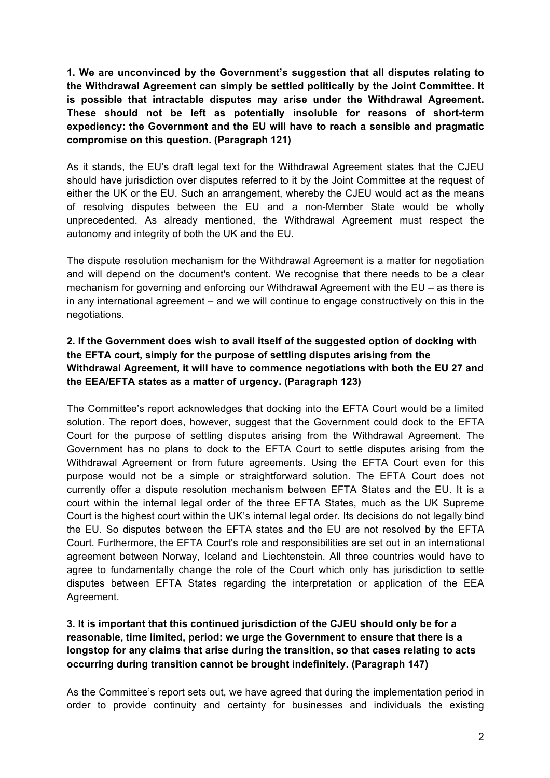**1. We are unconvinced by the Government's suggestion that all disputes relating to the Withdrawal Agreement can simply be settled politically by the Joint Committee. It is possible that intractable disputes may arise under the Withdrawal Agreement. These should not be left as potentially insoluble for reasons of short-term expediency: the Government and the EU will have to reach a sensible and pragmatic compromise on this question. (Paragraph 121)** 

As it stands, the EU's draft legal text for the Withdrawal Agreement states that the CJEU should have jurisdiction over disputes referred to it by the Joint Committee at the request of either the UK or the EU. Such an arrangement, whereby the CJEU would act as the means of resolving disputes between the EU and a non-Member State would be wholly unprecedented. As already mentioned, the Withdrawal Agreement must respect the autonomy and integrity of both the UK and the EU.

The dispute resolution mechanism for the Withdrawal Agreement is a matter for negotiation and will depend on the document's content. We recognise that there needs to be a clear mechanism for governing and enforcing our Withdrawal Agreement with the EU – as there is in any international agreement – and we will continue to engage constructively on this in the negotiations.

### **2. If the Government does wish to avail itself of the suggested option of docking with the EFTA court, simply for the purpose of settling disputes arising from the Withdrawal Agreement, it will have to commence negotiations with both the EU 27 and the EEA/EFTA states as a matter of urgency. (Paragraph 123)**

The Committee's report acknowledges that docking into the EFTA Court would be a limited solution. The report does, however, suggest that the Government could dock to the EFTA Court for the purpose of settling disputes arising from the Withdrawal Agreement. The Government has no plans to dock to the EFTA Court to settle disputes arising from the Withdrawal Agreement or from future agreements. Using the EFTA Court even for this purpose would not be a simple or straightforward solution. The EFTA Court does not currently offer a dispute resolution mechanism between EFTA States and the EU. It is a court within the internal legal order of the three EFTA States, much as the UK Supreme Court is the highest court within the UK's internal legal order. Its decisions do not legally bind the EU. So disputes between the EFTA states and the EU are not resolved by the EFTA Court. Furthermore, the EFTA Court's role and responsibilities are set out in an international agreement between Norway, Iceland and Liechtenstein. All three countries would have to agree to fundamentally change the role of the Court which only has jurisdiction to settle disputes between EFTA States regarding the interpretation or application of the EEA Agreement.

# **3. It is important that this continued jurisdiction of the CJEU should only be for a reasonable, time limited, period: we urge the Government to ensure that there is a longstop for any claims that arise during the transition, so that cases relating to acts occurring during transition cannot be brought indefinitely. (Paragraph 147)**

As the Committee's report sets out, we have agreed that during the implementation period in order to provide continuity and certainty for businesses and individuals the existing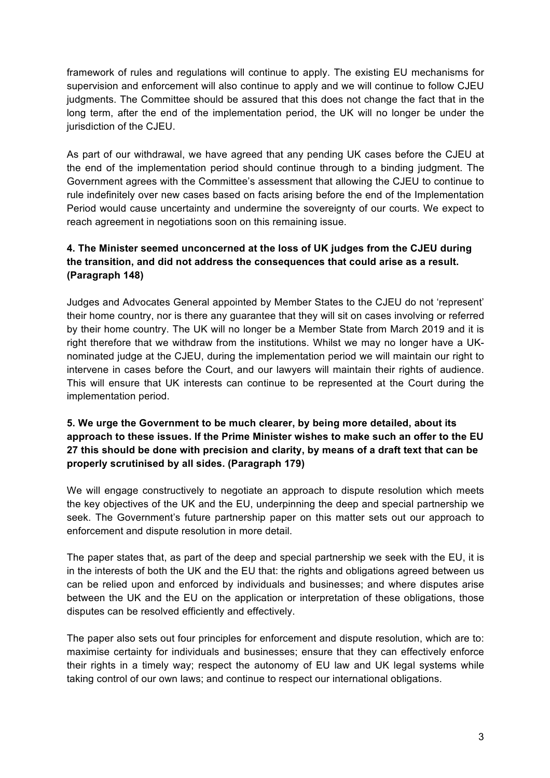framework of rules and regulations will continue to apply. The existing EU mechanisms for supervision and enforcement will also continue to apply and we will continue to follow CJEU judgments. The Committee should be assured that this does not change the fact that in the long term, after the end of the implementation period, the UK will no longer be under the jurisdiction of the CJEU.

As part of our withdrawal, we have agreed that any pending UK cases before the CJEU at the end of the implementation period should continue through to a binding judgment. The Government agrees with the Committee's assessment that allowing the CJEU to continue to rule indefinitely over new cases based on facts arising before the end of the Implementation Period would cause uncertainty and undermine the sovereignty of our courts. We expect to reach agreement in negotiations soon on this remaining issue.

# **4. The Minister seemed unconcerned at the loss of UK judges from the CJEU during the transition, and did not address the consequences that could arise as a result. (Paragraph 148)**

Judges and Advocates General appointed by Member States to the CJEU do not 'represent' their home country, nor is there any guarantee that they will sit on cases involving or referred by their home country. The UK will no longer be a Member State from March 2019 and it is right therefore that we withdraw from the institutions. Whilst we may no longer have a UKnominated judge at the CJEU, during the implementation period we will maintain our right to intervene in cases before the Court, and our lawyers will maintain their rights of audience. This will ensure that UK interests can continue to be represented at the Court during the implementation period.

# **5. We urge the Government to be much clearer, by being more detailed, about its approach to these issues. If the Prime Minister wishes to make such an offer to the EU 27 this should be done with precision and clarity, by means of a draft text that can be properly scrutinised by all sides. (Paragraph 179)**

We will engage constructively to negotiate an approach to dispute resolution which meets the key objectives of the UK and the EU, underpinning the deep and special partnership we seek. The Government's future partnership paper on this matter sets out our approach to enforcement and dispute resolution in more detail.

The paper states that, as part of the deep and special partnership we seek with the EU, it is in the interests of both the UK and the EU that: the rights and obligations agreed between us can be relied upon and enforced by individuals and businesses; and where disputes arise between the UK and the EU on the application or interpretation of these obligations, those disputes can be resolved efficiently and effectively.

The paper also sets out four principles for enforcement and dispute resolution, which are to: maximise certainty for individuals and businesses; ensure that they can effectively enforce their rights in a timely way; respect the autonomy of EU law and UK legal systems while taking control of our own laws; and continue to respect our international obligations.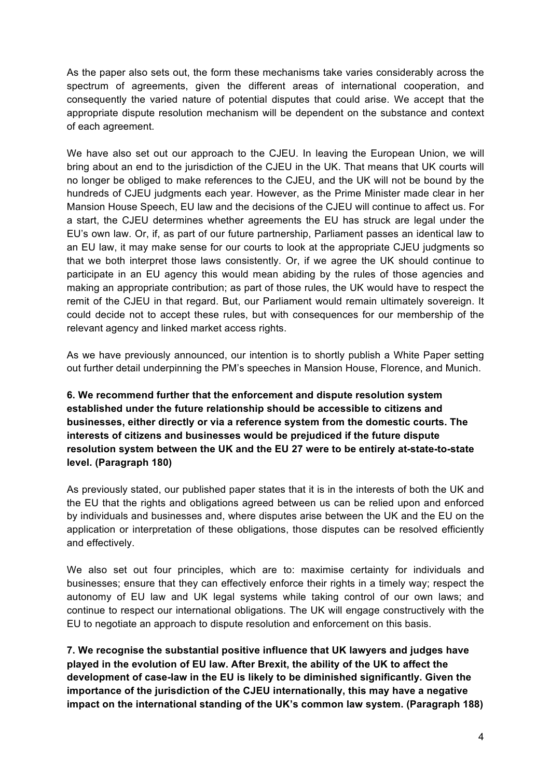As the paper also sets out, the form these mechanisms take varies considerably across the spectrum of agreements, given the different areas of international cooperation, and consequently the varied nature of potential disputes that could arise. We accept that the appropriate dispute resolution mechanism will be dependent on the substance and context of each agreement.

We have also set out our approach to the CJEU. In leaving the European Union, we will bring about an end to the jurisdiction of the CJEU in the UK. That means that UK courts will no longer be obliged to make references to the CJEU, and the UK will not be bound by the hundreds of CJEU judgments each year. However, as the Prime Minister made clear in her Mansion House Speech, EU law and the decisions of the CJEU will continue to affect us. For a start, the CJEU determines whether agreements the EU has struck are legal under the EU's own law. Or, if, as part of our future partnership, Parliament passes an identical law to an EU law, it may make sense for our courts to look at the appropriate CJEU judgments so that we both interpret those laws consistently. Or, if we agree the UK should continue to participate in an EU agency this would mean abiding by the rules of those agencies and making an appropriate contribution; as part of those rules, the UK would have to respect the remit of the CJEU in that regard. But, our Parliament would remain ultimately sovereign. It could decide not to accept these rules, but with consequences for our membership of the relevant agency and linked market access rights.

As we have previously announced, our intention is to shortly publish a White Paper setting out further detail underpinning the PM's speeches in Mansion House, Florence, and Munich.

### **6. We recommend further that the enforcement and dispute resolution system established under the future relationship should be accessible to citizens and businesses, either directly or via a reference system from the domestic courts. The interests of citizens and businesses would be prejudiced if the future dispute resolution system between the UK and the EU 27 were to be entirely at-state-to-state level. (Paragraph 180)**

As previously stated, our published paper states that it is in the interests of both the UK and the EU that the rights and obligations agreed between us can be relied upon and enforced by individuals and businesses and, where disputes arise between the UK and the EU on the application or interpretation of these obligations, those disputes can be resolved efficiently and effectively.

We also set out four principles, which are to: maximise certainty for individuals and businesses; ensure that they can effectively enforce their rights in a timely way; respect the autonomy of EU law and UK legal systems while taking control of our own laws; and continue to respect our international obligations. The UK will engage constructively with the EU to negotiate an approach to dispute resolution and enforcement on this basis.

**7. We recognise the substantial positive influence that UK lawyers and judges have played in the evolution of EU law. After Brexit, the ability of the UK to affect the development of case-law in the EU is likely to be diminished significantly. Given the importance of the jurisdiction of the CJEU internationally, this may have a negative impact on the international standing of the UK's common law system. (Paragraph 188)**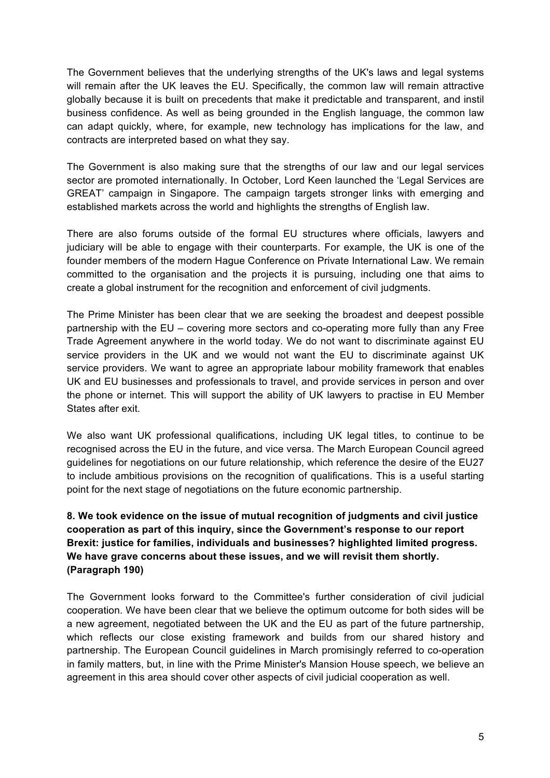The Government believes that the underlying strengths of the UK's laws and legal systems will remain after the UK leaves the EU. Specifically, the common law will remain attractive globally because it is built on precedents that make it predictable and transparent, and instil business confidence. As well as being grounded in the English language, the common law can adapt quickly, where, for example, new technology has implications for the law, and contracts are interpreted based on what they say.

The Government is also making sure that the strengths of our law and our legal services sector are promoted internationally. In October, Lord Keen launched the 'Legal Services are GREAT' campaign in Singapore. The campaign targets stronger links with emerging and established markets across the world and highlights the strengths of English law.

There are also forums outside of the formal EU structures where officials, lawyers and judiciary will be able to engage with their counterparts. For example, the UK is one of the founder members of the modern Hague Conference on Private International Law. We remain committed to the organisation and the projects it is pursuing, including one that aims to create a global instrument for the recognition and enforcement of civil judgments.

The Prime Minister has been clear that we are seeking the broadest and deepest possible partnership with the EU – covering more sectors and co-operating more fully than any Free Trade Agreement anywhere in the world today. We do not want to discriminate against EU service providers in the UK and we would not want the EU to discriminate against UK service providers. We want to agree an appropriate labour mobility framework that enables UK and EU businesses and professionals to travel, and provide services in person and over the phone or internet. This will support the ability of UK lawyers to practise in EU Member States after exit.

We also want UK professional qualifications, including UK legal titles, to continue to be recognised across the EU in the future, and vice versa. The March European Council agreed guidelines for negotiations on our future relationship, which reference the desire of the EU27 to include ambitious provisions on the recognition of qualifications. This is a useful starting point for the next stage of negotiations on the future economic partnership.

# **8. We took evidence on the issue of mutual recognition of judgments and civil justice cooperation as part of this inquiry, since the Government's response to our report Brexit: justice for families, individuals and businesses? highlighted limited progress. We have grave concerns about these issues, and we will revisit them shortly. (Paragraph 190)**

The Government looks forward to the Committee's further consideration of civil judicial cooperation. We have been clear that we believe the optimum outcome for both sides will be a new agreement, negotiated between the UK and the EU as part of the future partnership, which reflects our close existing framework and builds from our shared history and partnership. The European Council guidelines in March promisingly referred to co-operation in family matters, but, in line with the Prime Minister's Mansion House speech, we believe an agreement in this area should cover other aspects of civil judicial cooperation as well.